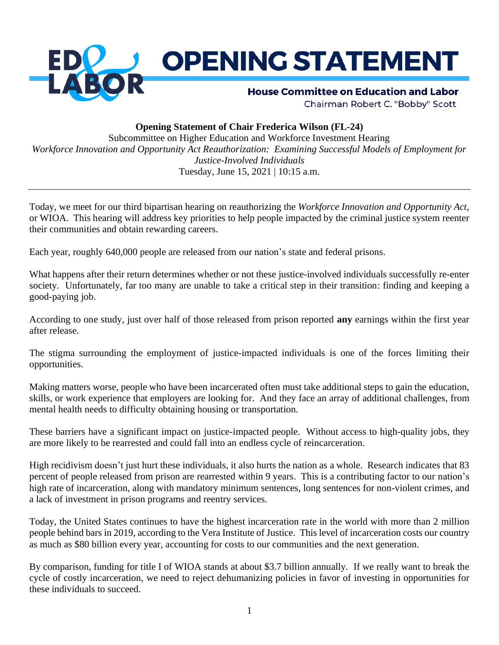

## **Opening Statement of Chair Frederica Wilson (FL-24)**

Subcommittee on Higher Education and Workforce Investment Hearing *Workforce Innovation and Opportunity Act Reauthorization: Examining Successful Models of Employment for Justice-Involved Individuals* Tuesday, June 15, 2021 | 10:15 a.m.

Today, we meet for our third bipartisan hearing on reauthorizing the *Workforce Innovation and Opportunity Act*, or WIOA. This hearing will address key priorities to help people impacted by the criminal justice system reenter their communities and obtain rewarding careers.

Each year, roughly 640,000 people are released from our nation's state and federal prisons.

What happens after their return determines whether or not these justice-involved individuals successfully re-enter society. Unfortunately, far too many are unable to take a critical step in their transition: finding and keeping a good-paying job.

According to one study, just over half of those released from prison reported **any** earnings within the first year after release.

The stigma surrounding the employment of justice-impacted individuals is one of the forces limiting their opportunities.

Making matters worse, people who have been incarcerated often must take additional steps to gain the education, skills, or work experience that employers are looking for. And they face an array of additional challenges, from mental health needs to difficulty obtaining housing or transportation.

These barriers have a significant impact on justice-impacted people. Without access to high-quality jobs, they are more likely to be rearrested and could fall into an endless cycle of reincarceration.

High recidivism doesn't just hurt these individuals, it also hurts the nation as a whole. Research indicates that 83 percent of people released from prison are rearrested within 9 years. This is a contributing factor to our nation's high rate of incarceration, along with mandatory minimum sentences, long sentences for non-violent crimes, and a lack of investment in prison programs and reentry services.

Today, the United States continues to have the highest incarceration rate in the world with more than 2 million people behind bars in 2019, according to the Vera Institute of Justice. This level of incarceration costs our country as much as \$80 billion every year, accounting for costs to our communities and the next generation.

By comparison, funding for title I of WIOA stands at about \$3.7 billion annually. If we really want to break the cycle of costly incarceration, we need to reject dehumanizing policies in favor of investing in opportunities for these individuals to succeed.